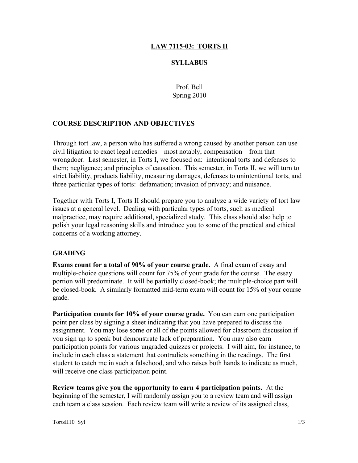### LAW 7115-03: TORTS II

#### **SYLLABUS**

Prof. Bell Spring 2010

#### COURSE DESCRIPTION AND OBJECTIVES

Through tort law, a person who has suffered a wrong caused by another person can use civil litigation to exact legal remedies—most notably, compensation—from that wrongdoer. Last semester, in Torts I, we focused on: intentional torts and defenses to them; negligence; and principles of causation. This semester, in Torts II, we will turn to strict liability, products liability, measuring damages, defenses to unintentional torts, and three particular types of torts: defamation; invasion of privacy; and nuisance.

Together with Torts I, Torts II should prepare you to analyze a wide variety of tort law issues at a general level. Dealing with particular types of torts, such as medical malpractice, may require additional, specialized study. This class should also help to polish your legal reasoning skills and introduce you to some of the practical and ethical concerns of a working attorney.

#### GRADING

Exams count for a total of 90% of your course grade. A final exam of essay and multiple-choice questions will count for 75% of your grade for the course. The essay portion will predominate. It will be partially closed-book; the multiple-choice part will be closed-book. A similarly formatted mid-term exam will count for 15% of your course grade.

Participation counts for 10% of your course grade. You can earn one participation point per class by signing a sheet indicating that you have prepared to discuss the assignment. You may lose some or all of the points allowed for classroom discussion if you sign up to speak but demonstrate lack of preparation. You may also earn participation points for various ungraded quizzes or projects. I will aim, for instance, to include in each class a statement that contradicts something in the readings. The first student to catch me in such a falsehood, and who raises both hands to indicate as much, will receive one class participation point.

Review teams give you the opportunity to earn 4 participation points. At the beginning of the semester, I will randomly assign you to a review team and will assign each team a class session. Each review team will write a review of its assigned class,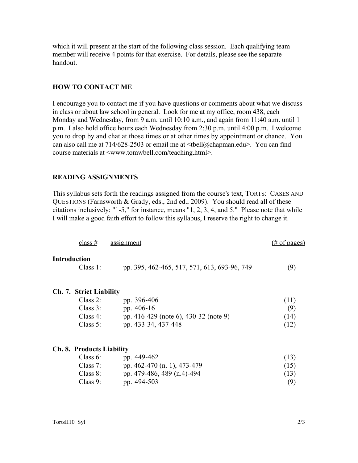which it will present at the start of the following class session. Each qualifying team member will receive 4 points for that exercise. For details, please see the separate handout.

#### HOW TO CONTACT ME

I encourage you to contact me if you have questions or comments about what we discuss in class or about law school in general. Look for me at my office, room 438, each Monday and Wednesday, from 9 a.m. until 10:10 a.m., and again from 11:40 a.m. until 1 p.m. I also hold office hours each Wednesday from 2:30 p.m. until 4:00 p.m. I welcome you to drop by and chat at those times or at other times by appointment or chance. You can also call me at  $714/628-2503$  or email me at  $\lt$ tbell@chapman.edu>. You can find course materials at <www.tomwbell.com/teaching.html>.

#### READING ASSIGNMENTS

This syllabus sets forth the readings assigned from the course's text, TORTS: CASES AND QUESTIONS (Farnsworth & Grady, eds., 2nd ed., 2009). You should read all of these citations inclusively; "1-5," for instance, means "1, 2, 3, 4, and 5." Please note that while I will make a good faith effort to follow this syllabus, I reserve the right to change it.

| class $#$                        | assignment                                   | $(\# \text{ of pages})$ |
|----------------------------------|----------------------------------------------|-------------------------|
| <b>Introduction</b>              |                                              |                         |
| Class $1$ :                      | pp. 395, 462-465, 517, 571, 613, 693-96, 749 | (9)                     |
| Ch. 7. Strict Liability          |                                              |                         |
| Class $2$ :                      | pp. 396-406                                  | (11)                    |
| Class $3$ :                      | pp. 406-16                                   | (9)                     |
| Class $4$ :                      | pp. 416-429 (note 6), 430-32 (note 9)        | (14)                    |
| Class $5$ :                      | pp. 433-34, 437-448                          | (12)                    |
| <b>Ch. 8. Products Liability</b> |                                              |                         |
| Class $6$ :                      | pp. 449-462                                  | (13)                    |
| Class $7$ :                      | pp. 462-470 (n. 1), 473-479                  | (15)                    |
|                                  | 100110011                                    |                         |